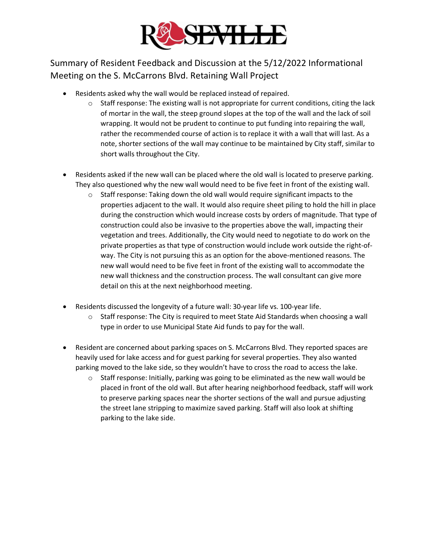

Summary of Resident Feedback and Discussion at the 5/12/2022 Informational Meeting on the S. McCarrons Blvd. Retaining Wall Project

- Residents asked why the wall would be replaced instead of repaired.
	- $\circ$  Staff response: The existing wall is not appropriate for current conditions, citing the lack of mortar in the wall, the steep ground slopes at the top of the wall and the lack of soil wrapping. It would not be prudent to continue to put funding into repairing the wall, rather the recommended course of action is to replace it with a wall that will last. As a note, shorter sections of the wall may continue to be maintained by City staff, similar to short walls throughout the City.
- Residents asked if the new wall can be placed where the old wall is located to preserve parking. They also questioned why the new wall would need to be five feet in front of the existing wall.
	- $\circ$  Staff response: Taking down the old wall would require significant impacts to the properties adjacent to the wall. It would also require sheet piling to hold the hill in place during the construction which would increase costs by orders of magnitude. That type of construction could also be invasive to the properties above the wall, impacting their vegetation and trees. Additionally, the City would need to negotiate to do work on the private properties as that type of construction would include work outside the right-ofway. The City is not pursuing this as an option for the above-mentioned reasons. The new wall would need to be five feet in front of the existing wall to accommodate the new wall thickness and the construction process. The wall consultant can give more detail on this at the next neighborhood meeting.
- Residents discussed the longevity of a future wall: 30-year life vs. 100-year life.
	- $\circ$  Staff response: The City is required to meet State Aid Standards when choosing a wall type in order to use Municipal State Aid funds to pay for the wall.
- Resident are concerned about parking spaces on S. McCarrons Blvd. They reported spaces are heavily used for lake access and for guest parking for several properties. They also wanted parking moved to the lake side, so they wouldn't have to cross the road to access the lake.
	- $\circ$  Staff response: Initially, parking was going to be eliminated as the new wall would be placed in front of the old wall. But after hearing neighborhood feedback, staff will work to preserve parking spaces near the shorter sections of the wall and pursue adjusting the street lane stripping to maximize saved parking. Staff will also look at shifting parking to the lake side.